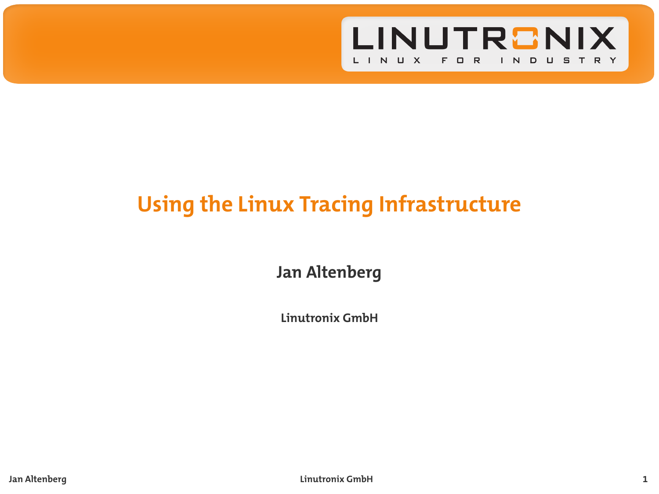

# **Using the Linux Tracing Infrastructure**

**Jan Altenberg**

**Linutronix GmbH**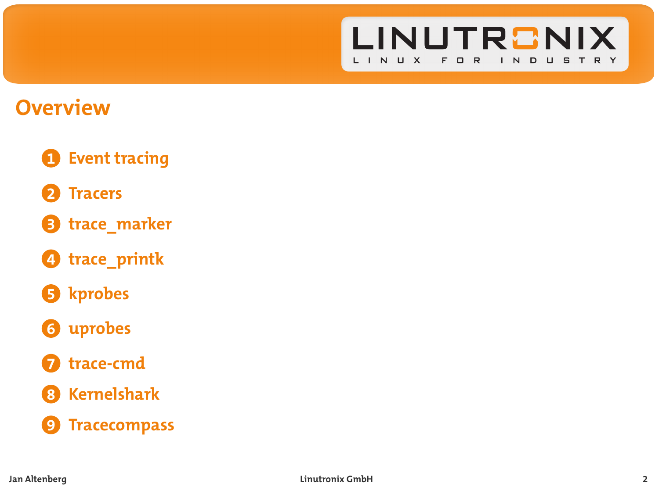

**2**

# **Overview**

- **1. Event tracing**
- **2. Tracers**
- **3. trace\_marker**
- **4. trace\_printk**
- **5. kprobes**
- **6. uprobes**
- **7. trace-cmd**
- **8. Kernelshark**
- **9. Tracecompass**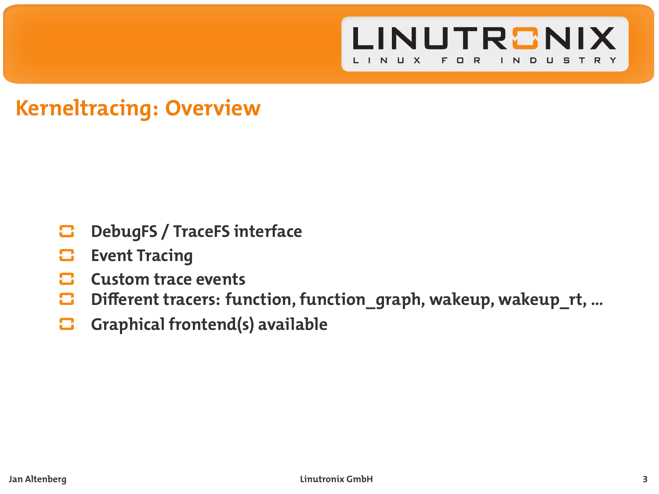

# **Kerneltracing: Overview**

- **DebugFS / TraceFS interface**
- o **Event Tracing**
- ◘ **Custom trace events**
- $\blacksquare$ **Different tracers: function, function\_graph, wakeup, wakeup\_rt, …**
- $\mathbf{\Xi}$ **Graphical frontend(s) available**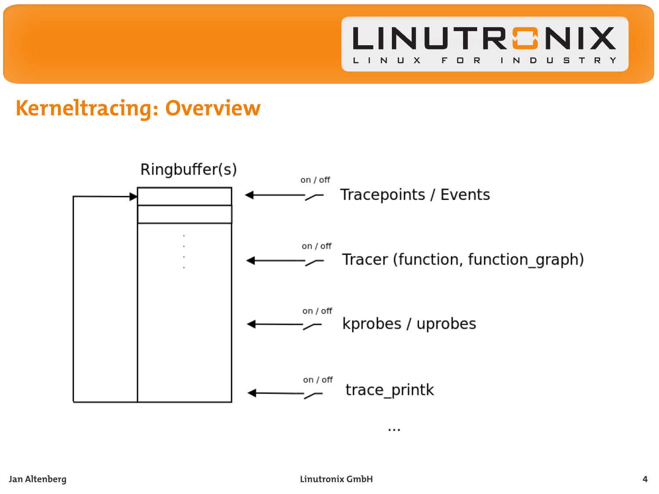

# **Kerneltracing: Overview**

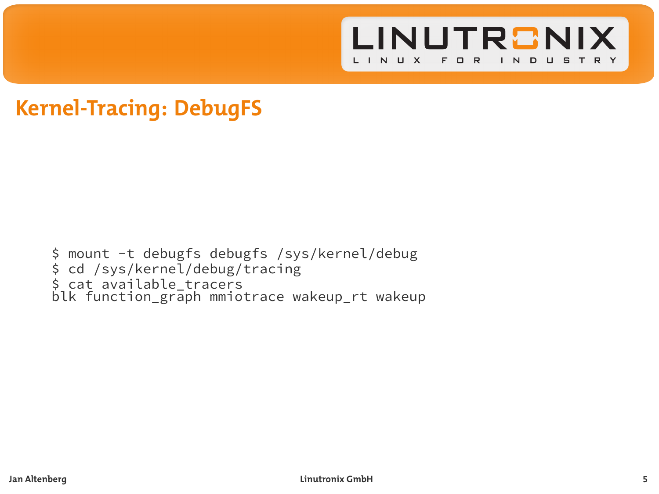

### **Kernel-Tracing: DebugFS**

\$ mount -t debugfs debugfs /sys/kernel/debug \$ cd /sys/kernel/debug/tracing \$ cat available\_tracers blk function\_graph mmiotrace wakeup\_rt wakeup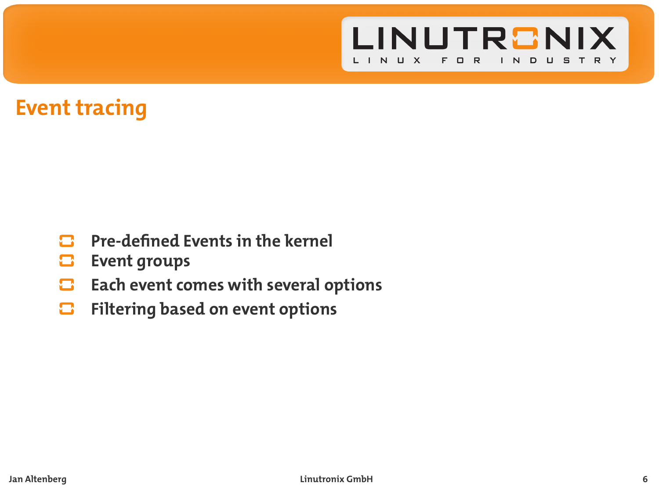

### **Event tracing**

- $\mathbf{\mathbf{\Omega}}$ **Pre-defined Events in the kernel**
- o **Event groups**
- **Each event comes with several options** Ξ
- **Filtering based on event options**  $\blacksquare$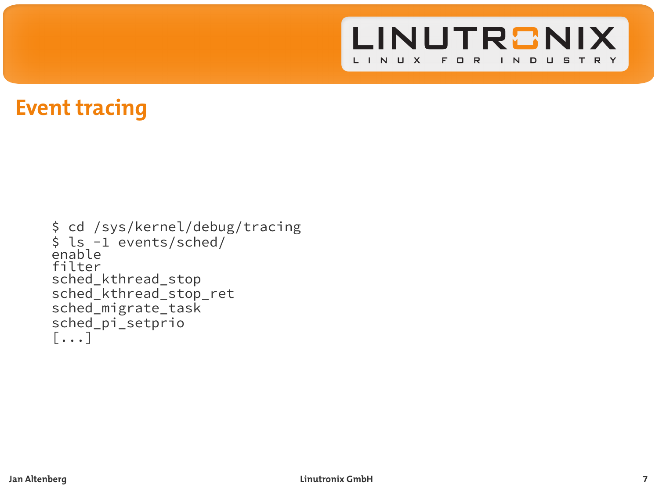

### **Event tracing**

```
$ cd /sys/kernel/debug/tracing
$ ls -1 events/sched/
enable
filter
sched_kthread_stop
sched kthread stop ret
sched_migrate_task
sched_pi_setprio
[...]
```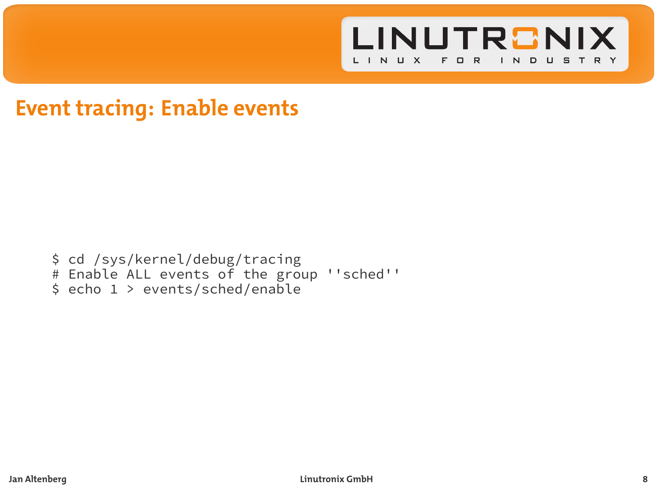

### **Event tracing: Enable events**

\$ cd /sys/kernel/debug/tracing # Enable ALL events of the group ''sched'' \$ echo 1 > events/sched/enable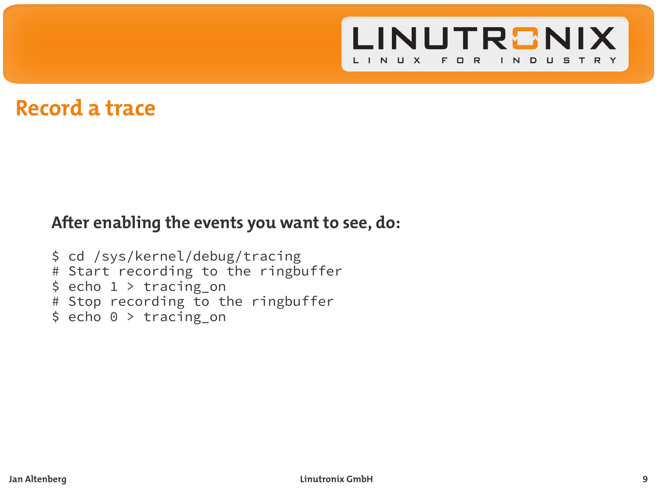

### **Record a trace**

#### **After enabling the events you want to see, do:**

```
$ cd /sys/kernel/debug/tracing
# Start recording to the ringbuffer
$ echo 1 > tracing-on# Stop recording to the ringbuffer
$ echo 0 > tracing on
```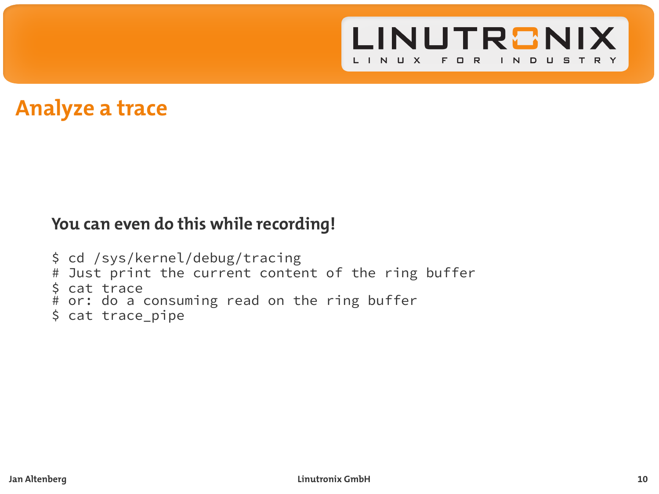

### **Analyze a trace**

#### **You can even do this while recording!**

```
$ cd /sys/kernel/debug/tracing
# Just print the current content of the ring buffer
$ cat trace
# or: do a consuming read on the ring buffer
$ cat trace_pipe
```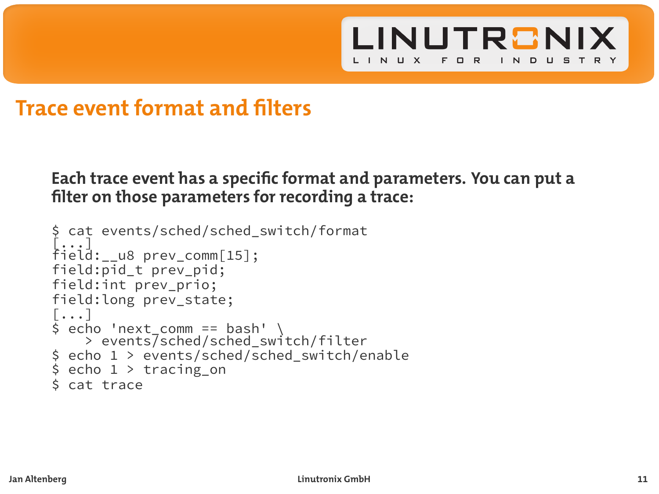

### **Trace event format and filters**

#### **Each trace event has a specific format and parameters. You can put a filter on those parameters for recording a trace:**

```
$ cat events/sched/sched_switch/format
[...]
field:__u8 prev_comm[15];
field:pid t prev pid;
field:int prev_prio;
field:long prev_state;
[...]
$ echo 'next_comm == bash' \
> events/sched/sched_switch/filter
$ echo 1 > events/sched/sched_switch/enable
$ echo 1 > tracing-on$ cat trace
```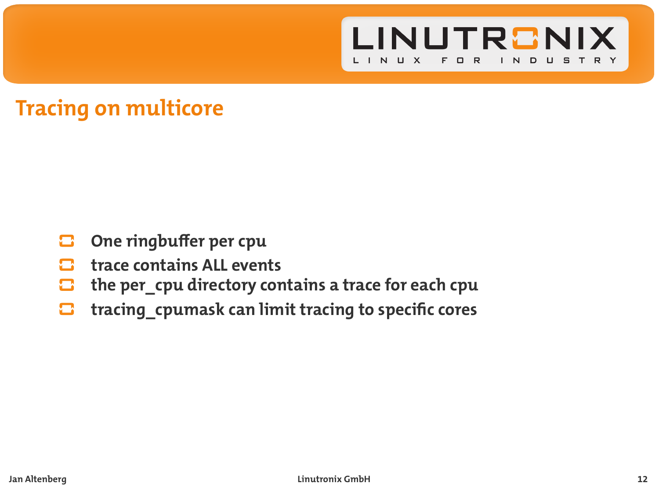

# **Tracing on multicore**

- o **One ringbuffer per cpu**
- **trace contains ALL events**
- $\mathbf{\Omega}$ **the per\_cpu directory contains a trace for each cpu**
- **tracing\_cpumask can limit tracing to specific cores** o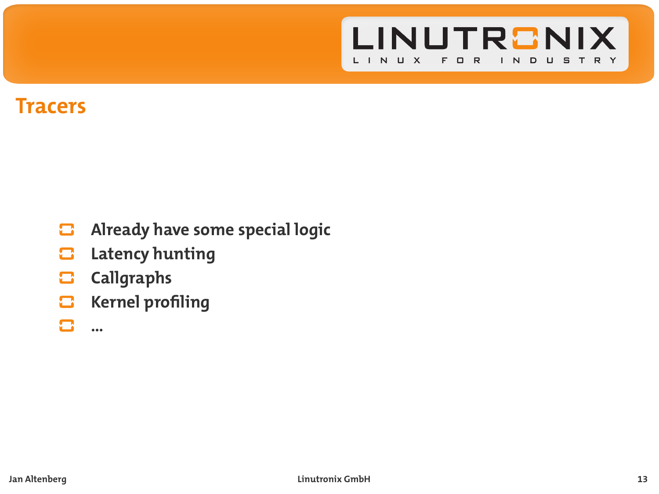

### **Tracers**

- **Already have some special logic**  $\mathbf{\mathbf{\mathsf{m}}}$
- **Latency hunting** c
- $\Box$ **Callgraphs**
- **Kernel profiling** о
- n **…**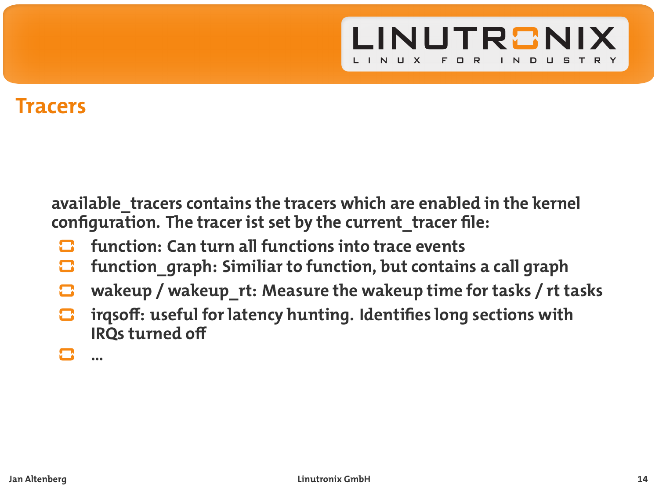

### **Tracers**

**available\_tracers contains the tracers which are enabled in the kernel configuration. The tracer ist set by the current\_tracer file:**

- **function: Can turn all functions into trace events**
- **function\_graph: Similiar to function, but contains a call graph** о
- $\mathbf{\Omega}$ **wakeup / wakeup\_rt: Measure the wakeup time for tasks / rt tasks**
- **irqsoff: useful for latency hunting. Identifies long sections with IRQs turned off**
	- **…**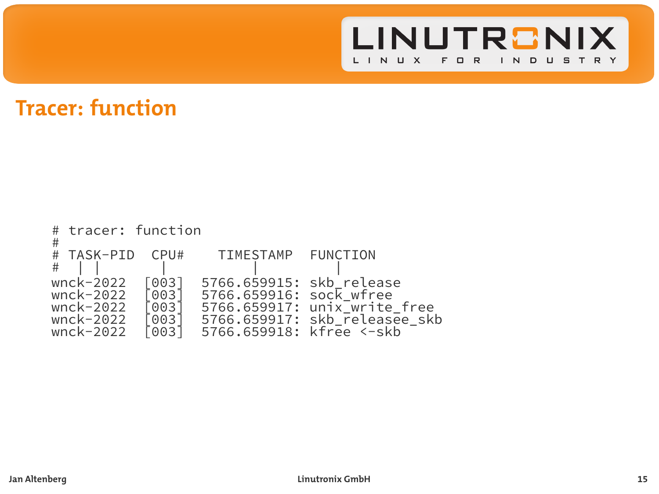

# **Tracer: function**

| # | # tracer: function                                            |                                           |                                                                                 |                                                               |
|---|---------------------------------------------------------------|-------------------------------------------|---------------------------------------------------------------------------------|---------------------------------------------------------------|
| # | # TASK-PID                                                    | CPU#                                      | TIMESTAMP FUNCTION                                                              |                                                               |
|   | wnck-2022<br>wnck-2022<br>wnck-2022<br>wnck-2022<br>wnck-2022 | [003]<br>[003]<br>Г0031<br>10031<br>10031 | 5766.659915: skb release<br>5766.659916: sock wfree<br>5766.659918: kfree <-skb | 5766.659917: unix write free<br>5766.659917: skb_releasee skb |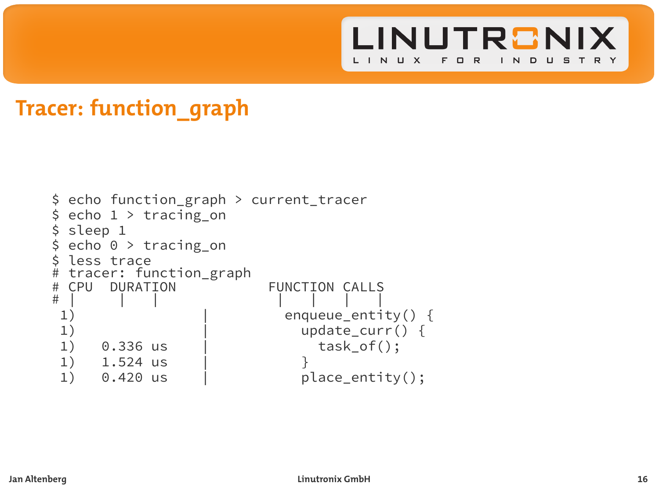

# **Tracer: function\_graph**

```
$ echo function_graph > current_tracer
$ echo 1 > tracing on$ sleep 1<br>$ echo 0
 echo 0 > tracing_0$ less trace
# tracer: function_graph
# CPU DURATION FUNCTION CALLS
# | | | | | | |
 1) \begin{array}{c|c} | & \text{enqueue\_entity() } \{ \\ | & | & \text{update curr() } \{ \\ \end{array}1) 0.336 us \qquad update_curr() {<br>task_of();
1) 0.336 us | task_of();<br>1) 1.524 us | }
1) 1.524 us<br>1) 0.420 us
                                  place_entity();
```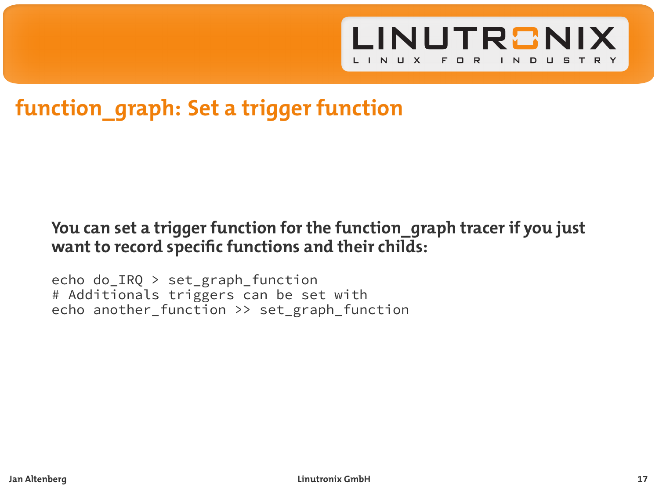

# **function\_graph: Set a trigger function**

#### **You can set a trigger function for the function\_graph tracer if you just want to record specific functions and their childs:**

echo do\_IRQ > set\_graph\_function # Additionals triggers can be set with echo another\_function >> set\_graph\_function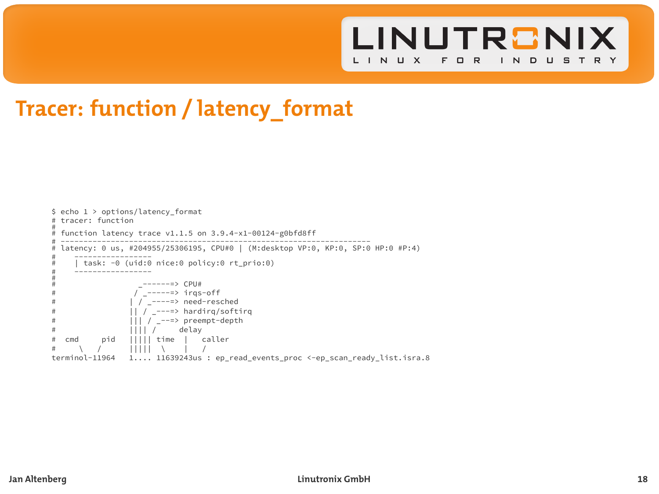

# **Tracer: function / latency\_format**

```
$ echo 1 > options/latency_format
# tracer: function
#
  function latency trace v1.1.5 on 3.9.4-x1-00124-g0hfd8ff# --------------------------------------------------------------------
# latency: 0 us, #204955/25306195, CPU#0 | (M:desktop VP:0, KP:0, SP:0 HP:0 #P:4)
# -----------------
# | task: -0 (uid:0 nice:0 policy:0 rt_prio:0)
         # -----------------
#
\frac{1}{\mu} \frac{1}{\mu} \frac{1}{\mu} \frac{1}{\mu} \frac{1}{\mu} \frac{1}{\mu} \frac{1}{\mu} \frac{1}{\mu} \frac{1}{\mu} \frac{1}{\mu} \frac{1}{\mu} \frac{1}{\mu} \frac{1}{\mu} \frac{1}{\mu} \frac{1}{\mu} \frac{1}{\mu} \frac{1}{\mu} \frac{1}{\mu} \frac{1}{\mu} \frac{1}{\mu} \overline{I} -----=> irgs-off
                                | / ----=> need-resched
# || / _---=> hardirq/softirq
                                |||| / ---\Rightarrow preempt-depth
# |||| / delay
\frac{\#}{\#} cmd pid \frac{1}{1}|||| time | caller
# \lambda / \| \| \| \lambda \| \| \| \lambda \| \lambda \| \lambda \| \lambda \| \| \lambda \| \| \lambda \| \| \lambda \| \| \lambda \| \| \lambda \| \| \lambda \| \| \lambda \| \| \lambda \| \| \lambda \| \1..., 11639243us : ep_read_events_proc <-ep_scan_ready_list.isra.8
```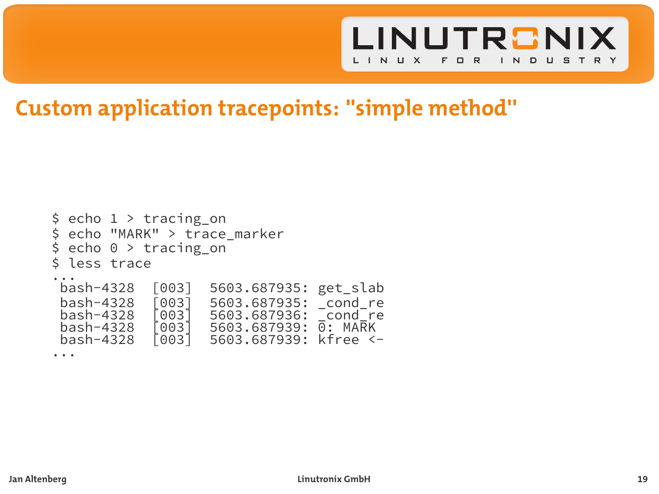

# **Custom application tracepoints: ''simple method''**

```
$ echo 1 > tracing_on
$ echo "MARK" > trace_marker
$ echo 0 > tracing_on
 less trace
\dot{b}ash-4328
 bash-4328 [003] 5603.687935: get_slab
 bash-4328 [003] 5603.687935: _cond_re
 bash-4328 [003] 5603.687936: cond_re<br>bash-4328 [003] 5603.687939: 0: MARK
 bash-4328 [003] 5603.687939:<br>bash-4328 [003] 5603.687939:
                        5603.687939: kfree <-
...
```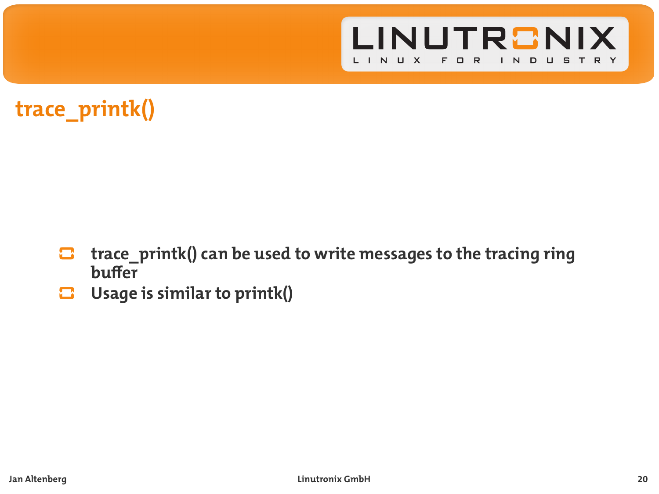

# **trace\_printk()**

- **trace\_printk() can be used to write messages to the tracing ring**  $\mathbf{\Xi}$ **buffer**
- c **Usage is similar to printk()**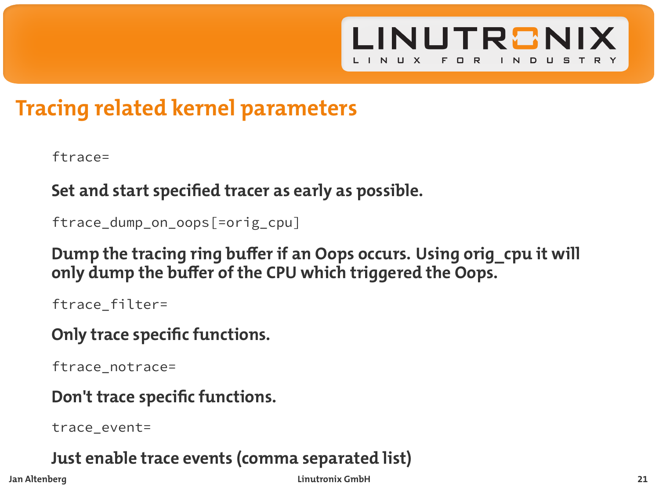

# **Tracing related kernel parameters**

ftrace=

**Set and start specified tracer as early as possible.**

ftrace dump on oops[=orig\_cpu]

**Dump the tracing ring buffer if an Oops occurs. Using orig\_cpu it will only dump the buffer of the CPU which triggered the Oops.**

ftrace\_filter=

**Only trace specific functions.**

ftrace\_notrace=

**Don't trace specific functions.**

trace\_event=

**Just enable trace events (comma separated list)**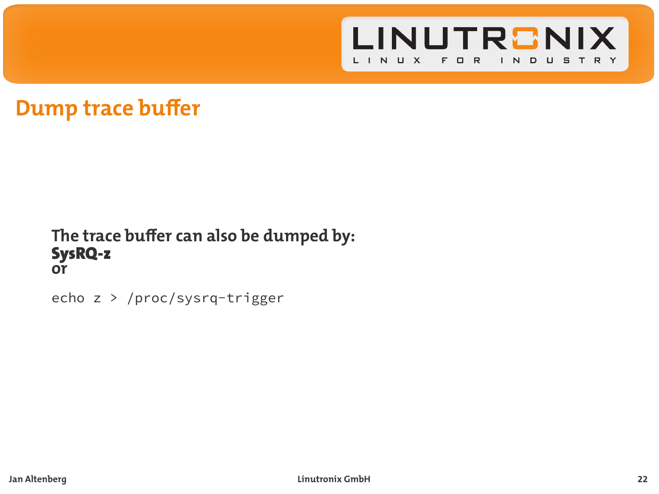

### **Dump trace buffer**

#### **The trace buffer can also be dumped by:** SysRQ-z **or**

echo z > /proc/sysrq-trigger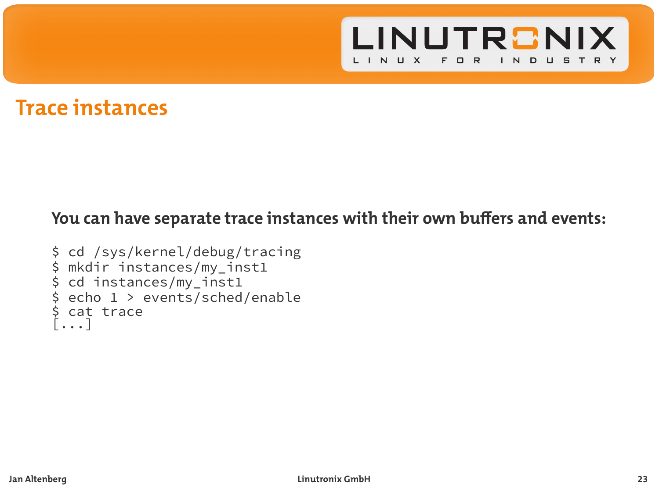

### **Trace instances**

### **You can have separate trace instances with their own buffers and events:**

```
$ cd /sys/kernel/debug/tracing
$ mkdir instances/my_inst1
$ cd instances/my_inst1
$ echo 1 > events/sched/enable
$ cat trace
[...]
```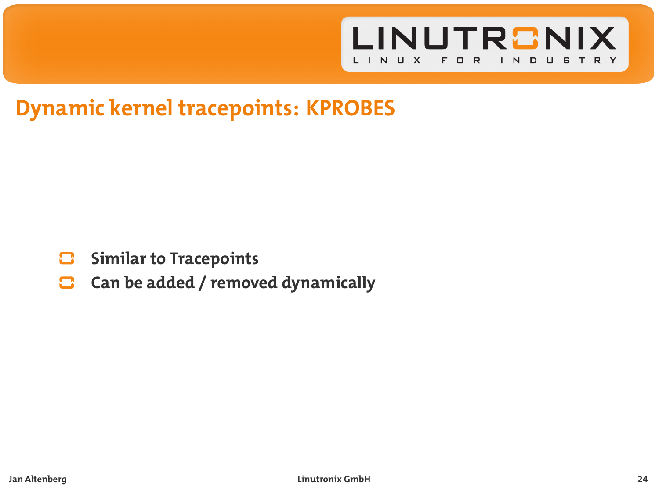

# **Dynamic kernel tracepoints: KPROBES**

- о **Similar to Tracepoints**
- **Can be added / removed dynamically**  $\mathbf{\Omega}$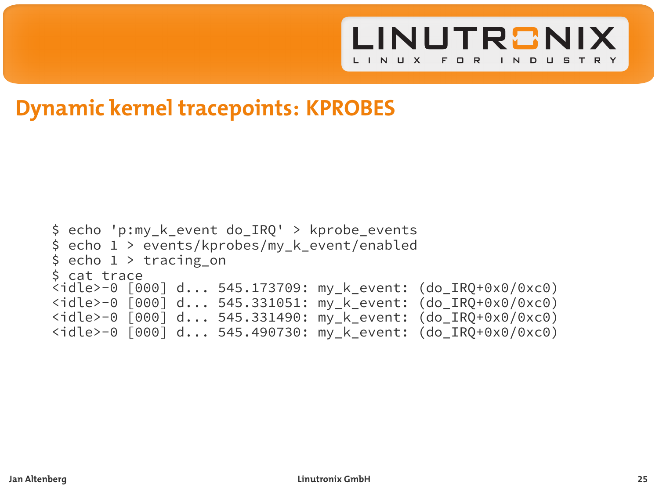

### **Dynamic kernel tracepoints: KPROBES**

```
$ echo 'p:my_k_event do_IRQ' > kprobe_events
$ echo 1 > events/kprobes/my_k_event/enabled
$ echo 1 > tracing on$ cat trace
<idle>-0 [000] d... 545.173709: my_k_event: (do_IRQ+0x0/0xc0)
<idle>-0 [000] d... 545.331051: my_k_event: (do_IRQ+0x0/0xc0)
<idle>-0 [000] d... 545.331490: my_k_event: (do_IRQ+0x0/0xc0)
<idle>-0 [000] d... 545.490730: my_k_event: (do_IRQ+0x0/0xc0)
```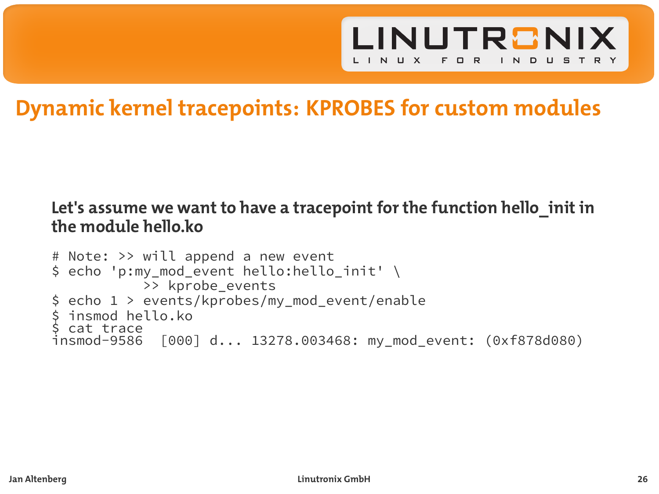

# **Dynamic kernel tracepoints: KPROBES for custom modules**

#### **Let's assume we want to have a tracepoint for the function hello\_init in the module hello.ko**

```
# Note: >> will append a new event
$ echo 'p:my_mod_event hello:hello_init' \
           >> kprobe events
$ echo 1 > events/kprobes/my mod event/enable
 insmod hello.ko
 cat trace
insmod-9586 [000] d... 13278.003468: my_mod_event: (0xf878d080)
```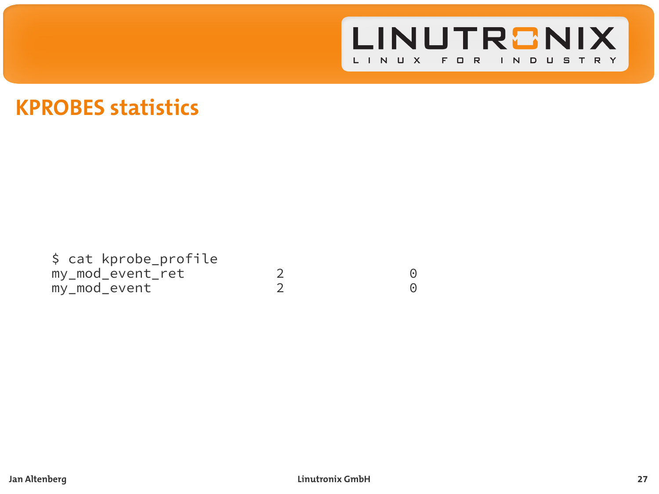

### **KPROBES statistics**

\$ cat kprobe\_profile my\_mod\_event\_ret 2 0<br>my\_mod\_event 2 0<br>0  $my$ \_mod\_event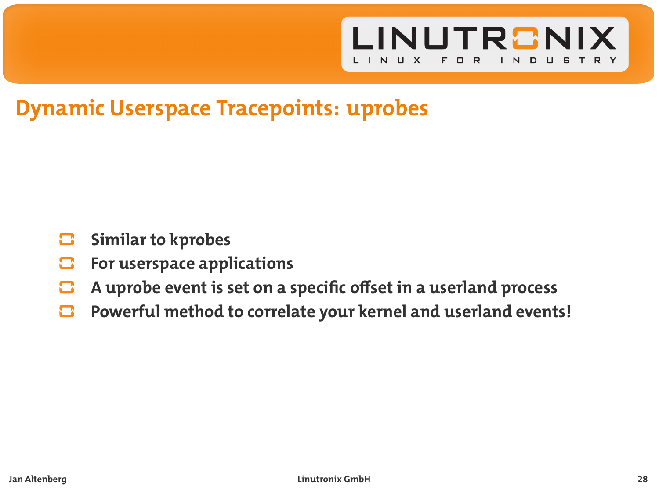

# **Dynamic Userspace Tracepoints: uprobes**

- **Similar to kprobes** œ
- **For userspace applications** o
- **A uprobe event is set on a specific offset in a userland process** o
- **Powerful method to correlate your kernel and userland events!** Ω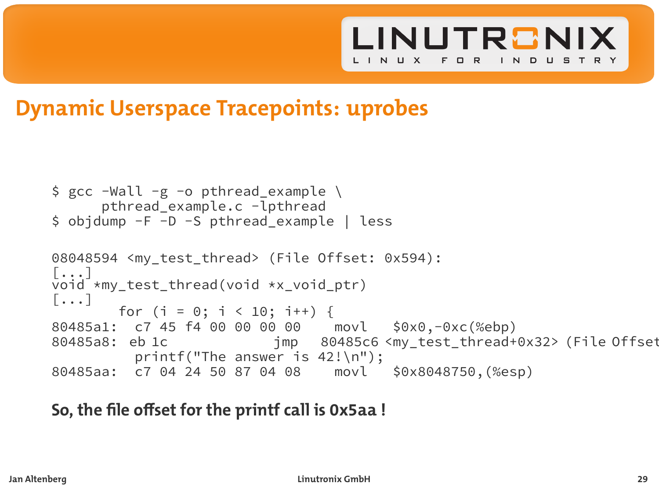

### **Dynamic Userspace Tracepoints: uprobes**

```
$ gcc -Wall -g -o pthread_example \
      pthread_example.c -lpthread
$ objdump -F -D -S pthread_example | less
08048594 <my test thread> (File Offset: 0x594):
[...]
void *my_test_thread(void *x_void_ptr)
[\ldots]for (i = 0; i < 10; i++) {
80485a1: c7 45 f4 00 00 00 00 movl $0x0,-0xc(%ebp)
                          imp 80485c6 <my test thread+0x32> (File Offset
         printf("The answer is 42!\n");
80485aa: c7 04 24 50 87 04 08 movl $0x8048750,(%esp)
```
### **So, the file offset for the printf call is 0x5aa !**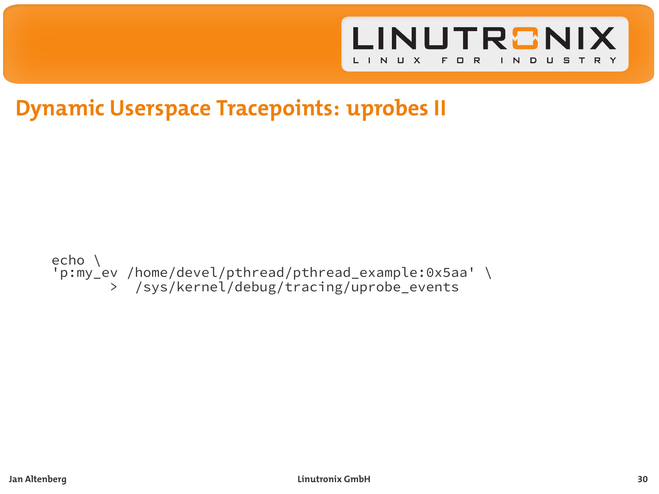

# **Dynamic Userspace Tracepoints: uprobes II**

#### echo \ 'p:my\_ev /home/devel/pthread/pthread\_example:0x5aa' \ > /sys/kernel/debug/tracing/uprobe\_events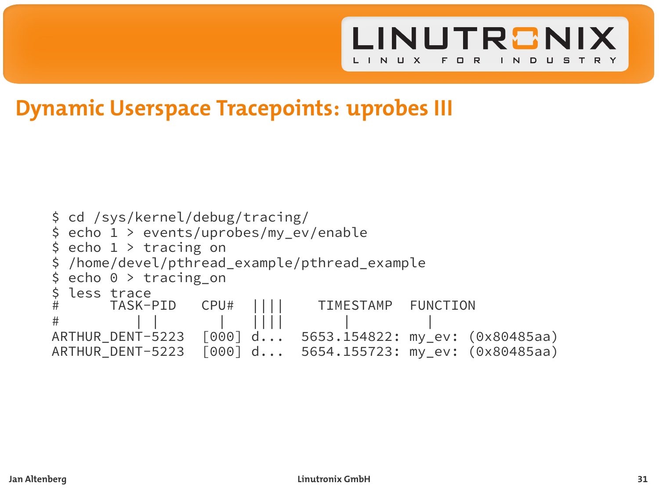

### **Dynamic Userspace Tracepoints: uprobes III**

```
$ cd /sys/kernel/debug/tracing/
$ echo 1 > events/uprobes/my_ev/enable
 echo 1 > tracing on/home/devel/pthread_example/pthread_example
$ echo 0 > tracing_on
$ less trace
                CPU# |||| TIMESTAMP FUNCTION
# | | | |||| | |
ARTHUR_DENT-5223 [000] d... 5653.154822: my_ev: (0x80485aa)
                          5654.155723: my ev: (0x80485aa)
```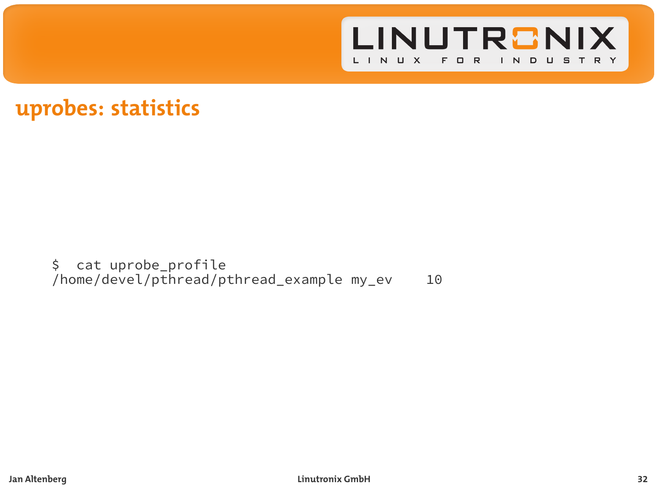

### **uprobes: statistics**

\$ cat uprobe\_profile /home/devel/pthread/pthread\_example my\_ev 10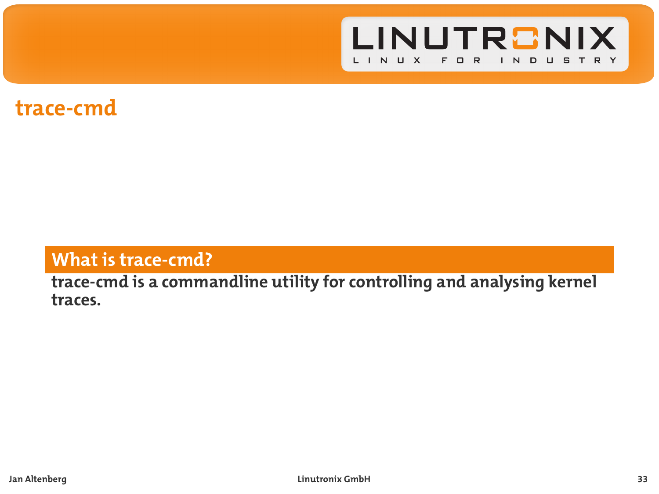

### **trace-cmd**

### **What is trace-cmd?**

#### **trace-cmd is a commandline utility for controlling and analysing kernel traces.**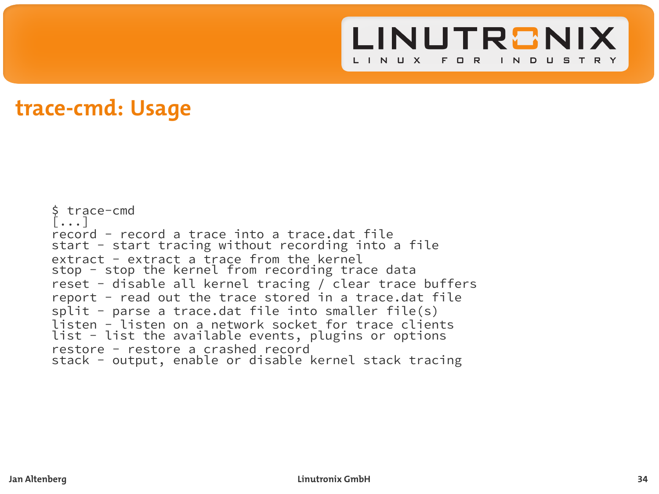

```
$ trace-cmd
[...]
record - record a trace into a trace.dat file
start - start tracing without recording into a file
extract - extract a trace from the kernel
stop - stop the kernel from recording trace data
reset - disable all kernel tracing / clear trace buffers
report - read out the trace stored in a trace.dat file
split - parse a trace.dat file into smaller file(s)
listen - listen on a network socket for trace clients
list - list the available events, plugins or options
restore - restore a crashed record
stack - output, enable or disable kernel stack tracing
```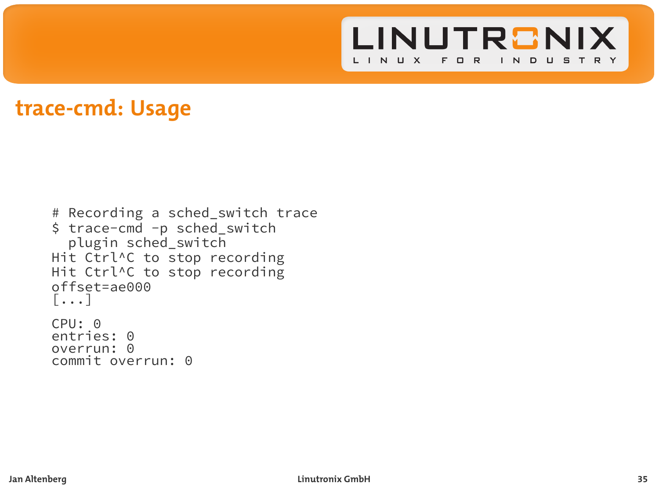

```
# Recording a sched_switch trace
$ trace-cmd -p sched switch
  plugin sched_switch
Hit Ctrl^C to stop recording
Hit Ctrl^C to stop recording
offset=ae000
[...]
CPU: 0
entries: 0
overrun: 0
commit overrun: 0
```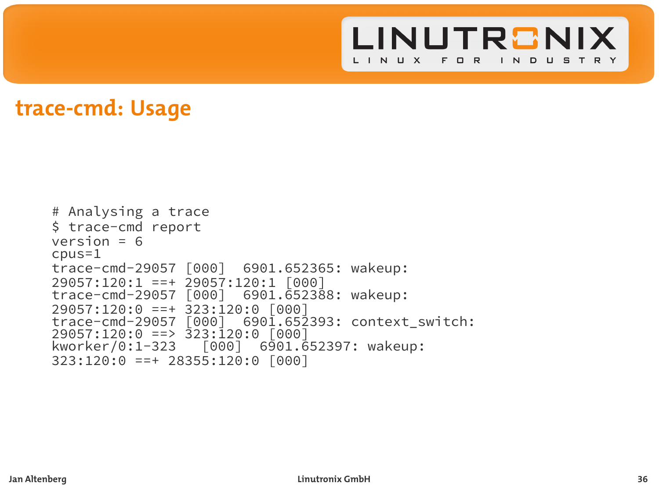

```
# Analysing a trace
$ trace-cmd report
version = 6
cpus=1
trace-cmd-29057 [000] 6901.652365: wakeup:
29057:120:1 ==+ 29057:120:1 [000]
trace-cmd-29057 [000]29057:120:0 ==+ 323:120:0 [000]
                      6901.652393: context_switch:
29057:120:0 ==> 323:120:0 [000]
kworker/0:1-323 [000] 6901.652397: wakeup:
323:120:0 ==+ 28355:120:0 [000]
```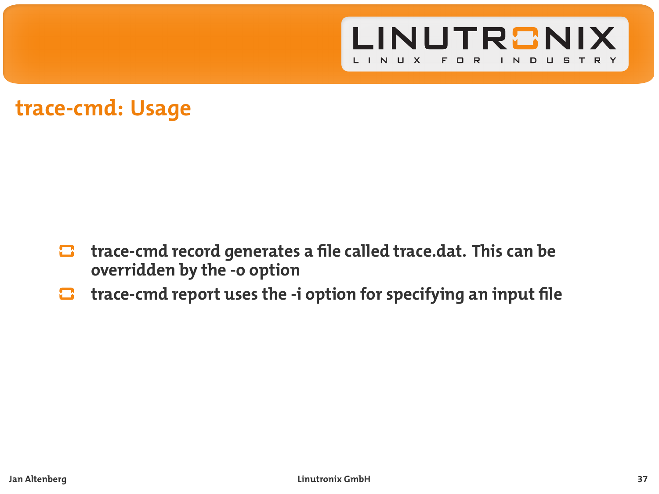

- **trace-cmd record generates a file called trace.dat. This can be** o **overridden by the -o option**
- **trace-cmd report uses the -i option for specifying an input file** о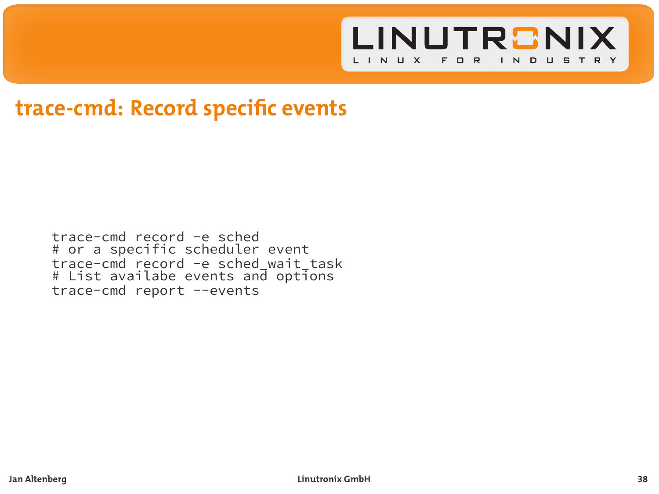

### **trace-cmd: Record specific events**

trace-cmd record -e sched # or a specific scheduler event trace-cmd record -e sched\_wait\_task # List availabe events and options trace-cmd report --events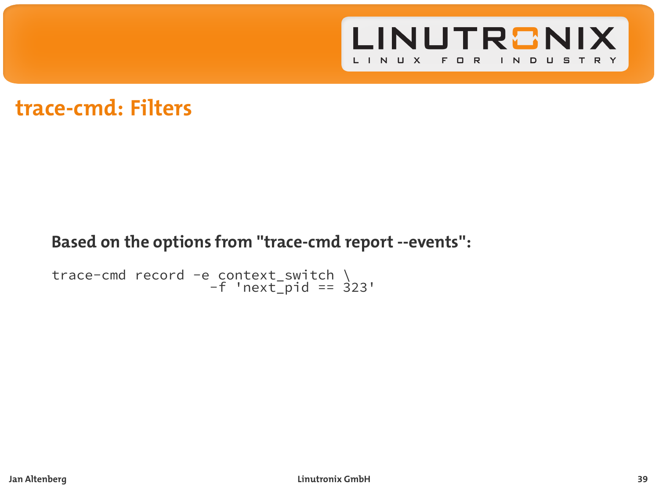

### **trace-cmd: Filters**

### **Based on the options from ''trace-cmd report --events'':**

```
trace-cmd record -e context_switch \
-f 'next_pid == 323'
```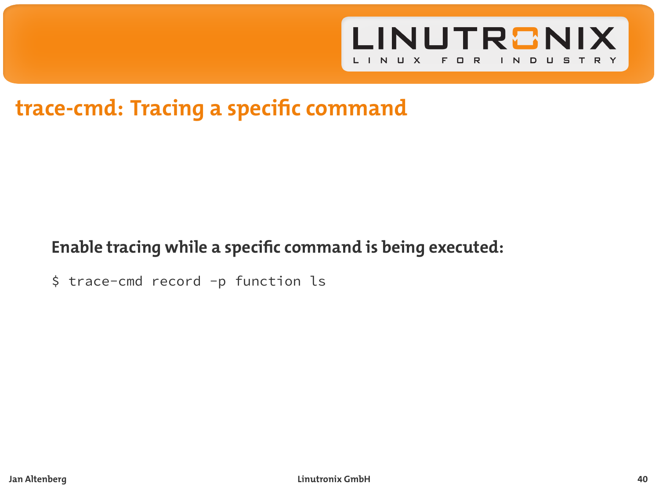

# **trace-cmd: Tracing a specific command**

### **Enable tracing while a specific command is being executed:**

\$ trace-cmd record -p function ls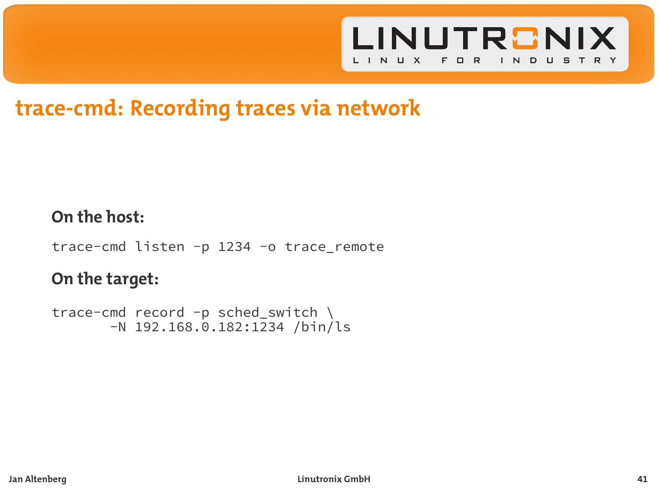

# **trace-cmd: Recording traces via network**

#### **On the host:**

trace-cmd listen -p 1234 -o trace\_remote

### **On the target:**

```
trace-cmd record -p sched_switch \
       -N 192.168.0.182:1234 /bin/ls
```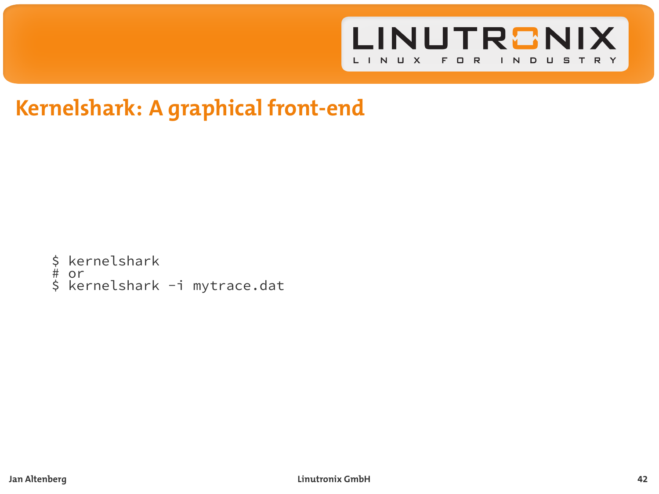

# **Kernelshark: A graphical front-end**

- kernelshark # or
- 
- \$ kernelshark -i mytrace.dat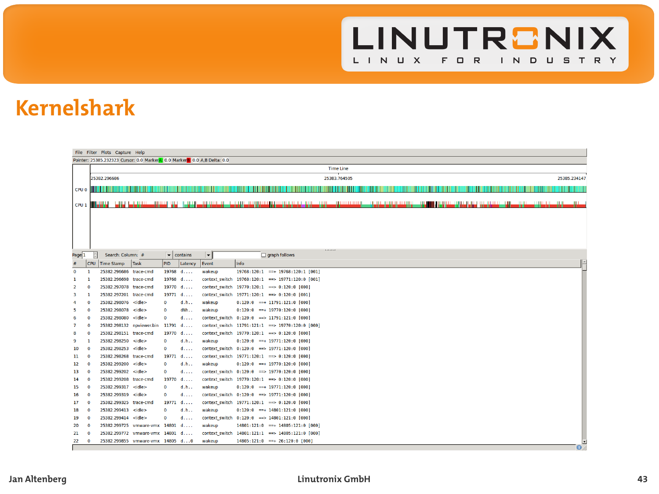

# **Kernelshark**

|                                                                             | File Filter Plots Capture Help |                                                     |               |           |                    |                          |      |                                                                                                                      |  |                      |  |                                         |                  |            |
|-----------------------------------------------------------------------------|--------------------------------|-----------------------------------------------------|---------------|-----------|--------------------|--------------------------|------|----------------------------------------------------------------------------------------------------------------------|--|----------------------|--|-----------------------------------------|------------------|------------|
| Pointer: 25385.232323 Cursor: 0.0 MarkerA: 0.0 Marker B: 0.0 A.B Delta: 0.0 |                                |                                                     |               |           |                    |                          |      |                                                                                                                      |  |                      |  |                                         |                  |            |
|                                                                             |                                | <b>Time Line</b>                                    |               |           |                    |                          |      |                                                                                                                      |  |                      |  |                                         |                  |            |
|                                                                             |                                | 25383.764505<br>25385.234147<br>25382.296686        |               |           |                    |                          |      |                                                                                                                      |  |                      |  |                                         |                  |            |
|                                                                             |                                | <b>CPU O IIII III IIII</b>                          |               |           |                    |                          |      |                                                                                                                      |  |                      |  |                                         |                  |            |
|                                                                             |                                |                                                     |               |           |                    |                          |      |                                                                                                                      |  |                      |  |                                         |                  |            |
| CPU <sub>1</sub>                                                            |                                | <b>BROWN who were committed the</b>                 |               |           |                    |                          |      | a the following the first state of the same of the same state and state of the same of the same of the same state of |  | <b>The Community</b> |  | والكاس ومنتجا بوابا المتاما لوارة المست | بالأستاذ فالدافئ |            |
|                                                                             |                                |                                                     |               |           |                    |                          |      |                                                                                                                      |  |                      |  |                                         |                  |            |
|                                                                             |                                |                                                     |               |           |                    |                          |      |                                                                                                                      |  |                      |  |                                         |                  |            |
|                                                                             |                                |                                                     |               |           |                    |                          |      |                                                                                                                      |  |                      |  |                                         |                  |            |
|                                                                             |                                |                                                     |               |           |                    |                          |      |                                                                                                                      |  |                      |  |                                         |                  |            |
|                                                                             |                                |                                                     |               |           |                    |                          |      |                                                                                                                      |  |                      |  |                                         |                  |            |
| Page 1                                                                      |                                | Search: Column: #                                   |               |           | $\bullet$ contains | $\overline{\phantom{a}}$ |      | graph follows                                                                                                        |  |                      |  |                                         |                  |            |
| ×                                                                           |                                | CPU Time Stamp                                      | Task          | <b>RD</b> | Latency            | Event                    | Info |                                                                                                                      |  |                      |  |                                         |                  | E          |
| ۰                                                                           | п                              | 25382.296686 trace-cmd                              |               |           | 19768 d            | wakeup                   |      | 19768:120:1 == + 19768:120:1 [001]                                                                                   |  |                      |  |                                         |                  |            |
| ٠                                                                           |                                | 25382.296698 trace-cmd                              |               |           | 19768 d            |                          |      | context switch 19768:128:1 == > 19771:128:8 [801]                                                                    |  |                      |  |                                         |                  |            |
| $\overline{2}$                                                              | o                              | 25382.297078 trace-cmd                              |               |           | 19770 d            |                          |      | context switch 19770:120:1 -- > 0:120:0 [000]                                                                        |  |                      |  |                                         |                  |            |
| з                                                                           | п                              | 25382.297201 trace-cmd                              |               |           | $19771$ d          |                          |      | context switch 19771:128:1 == 0:128:0 [601]                                                                          |  |                      |  |                                         |                  |            |
| 4                                                                           | ø                              | 25382.298076 <ldle></ldle>                          |               | ۰         | d.h                | wakeup                   |      | $0:120:0$ =+ $11791:121:0$ [000]                                                                                     |  |                      |  |                                         |                  |            |
| s                                                                           | .c                             | 25382.298078                                        | <idle></idle> | ٠         | dth                | wakeup                   |      | $0:120:0 \longrightarrow 19770:120:0$ [000]                                                                          |  |                      |  |                                         |                  |            |
| ٠                                                                           | n<br>ø                         | 25382.298080                                        | <idle></idle> | ۰         | $d_{1111}$         |                          |      | context switch 0:120:0 = 11791:121:0 [000]                                                                           |  |                      |  |                                         |                  |            |
| 7                                                                           | .c                             | 25382.298132 roviewer.bin<br>25382.298151 trace-cmd |               | $11791$ d | $19770$ $d$        |                          |      | context switch 11791:121:1 == 19778:128:8 [888]                                                                      |  |                      |  |                                         |                  |            |
| 8<br>٩                                                                      | ٠                              | 25382.298250                                        | <idle></idle> | $\circ$   | d.h                | wakeup                   |      | context switch 19770:120:1 -- > 0:120:0 [000]<br>0:120:0 == + 19771:120:0 [000]                                      |  |                      |  |                                         |                  |            |
| 10                                                                          | ø                              | 25382.298253                                        | <idle></idle> | $\circ$   | $d_{1111}$         |                          |      | context switch 0:120:0 => 19771:120:0 [000]                                                                          |  |                      |  |                                         |                  |            |
| 11                                                                          | .c                             | 25382.298268                                        | trace-cmd     |           | $19771$ d          |                          |      | context switch 19771:120:1 -- > 0:120:0 [000]                                                                        |  |                      |  |                                         |                  |            |
| 12                                                                          | n                              | 25382.299200                                        | <idle></idle> | $\circ$   | d.h                | wakeup                   |      | $0:120:0$ = $+ 19770:120:0$ [000]                                                                                    |  |                      |  |                                         |                  |            |
| 13                                                                          | n                              | 25382.299202 <idle></idle>                          |               | ۰         | $d_{1111}$         |                          |      | context switch 0:120:0 => 19770:120:0 [000]                                                                          |  |                      |  |                                         |                  |            |
| 14                                                                          | .c                             | 25382.299208 trace-cmd                              |               | 19770     | 4.1.1              |                          |      | context switch 19770:120:1 -- > 0:120:0 [000]                                                                        |  |                      |  |                                         |                  |            |
| 15                                                                          | $\mathbf{a}$                   | 25382.299317 <idle></idle>                          |               | ۰         | d.h                | wakeup                   |      | $0:120:0$ = $+ 19771:120:0$ [000]                                                                                    |  |                      |  |                                         |                  |            |
| 16                                                                          | $\circ$                        | 25382.299319                                        | <idle></idle> | ۰         | $d_{1111}$         |                          |      | context switch 8:120:0 = 19771:128:0 [600]                                                                           |  |                      |  |                                         |                  |            |
| 17                                                                          | .c                             | 25382.299325 trace-cmd                              |               |           | $19771$ d          |                          |      | context switch 19771:120:1 -- > 0:120:0 [000]                                                                        |  |                      |  |                                         |                  |            |
| 18                                                                          | $\mathbf{a}$                   | 25382.299413                                        | <idle></idle> | ۰         | d.h                | wakeup                   |      | 0:120:0 == + 14801:121:0 [000]                                                                                       |  |                      |  |                                         |                  |            |
| 19                                                                          | $\mathbf{0}$                   | 25382.299414 <idle></idle>                          |               | ٥         | $d_{1111}$         |                          |      | context switch 8:120:0 = 14881:121:0 [899]                                                                           |  |                      |  |                                         |                  |            |
| 20                                                                          | $\ddot{\phantom{0}}$           | 25382.299725 vmware-vmx 14801 d                     |               |           |                    | wakeup                   |      | 14881:121:0 -- + 14805:121:0 [000]                                                                                   |  |                      |  |                                         |                  |            |
| 21                                                                          | $\circ$                        | 25382.299772 vmware-vmx 14801 d                     |               |           |                    |                          |      | context switch 14801:121:1 == > 14805:121:0 [000]                                                                    |  |                      |  |                                         |                  |            |
| 22                                                                          | $\mathbf{0}$                   | 25382.299855 vmware-vmx 14805 d8                    |               |           |                    | wakeup                   |      | 14885:121:0 == + 26:120:0 [000]                                                                                      |  |                      |  |                                         |                  |            |
|                                                                             |                                |                                                     |               |           |                    |                          |      |                                                                                                                      |  |                      |  |                                         |                  | $\Omega$ . |

**Jan Altenberg Linutronix GmbH 43**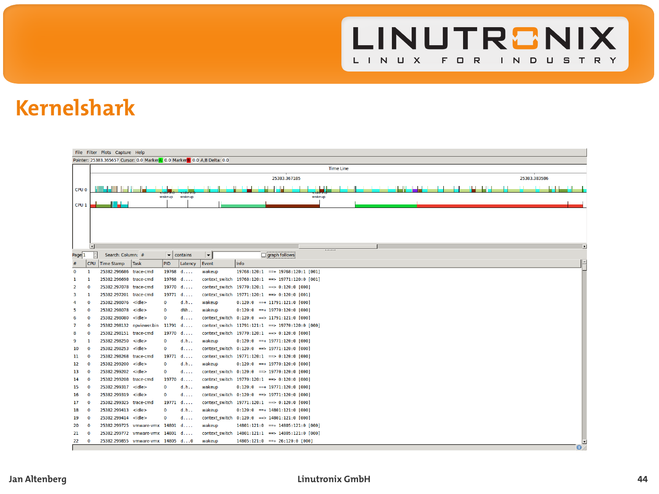

# **Kernelshark**

|                                                                            | File Filter Plots Capture Help |                                                  |                                 |           |                      |                          |                                                                                               |    |  |  |
|----------------------------------------------------------------------------|--------------------------------|--------------------------------------------------|---------------------------------|-----------|----------------------|--------------------------|-----------------------------------------------------------------------------------------------|----|--|--|
| Pointer: 25383.365657 Cursor: 0.0 MarkerA: 0.0 MarkerA: 0.0 A.B Delta: 0.0 |                                |                                                  |                                 |           |                      |                          |                                                                                               |    |  |  |
|                                                                            | <b>Time Line</b>               |                                                  |                                 |           |                      |                          |                                                                                               |    |  |  |
|                                                                            |                                | 25383.383586<br>25383.367185                     |                                 |           |                      |                          |                                                                                               |    |  |  |
| CPU 0                                                                      |                                |                                                  |                                 |           |                      |                          |                                                                                               |    |  |  |
|                                                                            |                                |                                                  |                                 | wakesp    | wakeup               |                          | wakeup                                                                                        |    |  |  |
| CPU <sub>1</sub>                                                           |                                | سامال                                            |                                 |           |                      |                          |                                                                                               |    |  |  |
|                                                                            |                                |                                                  |                                 |           |                      |                          |                                                                                               |    |  |  |
|                                                                            |                                |                                                  |                                 |           |                      |                          |                                                                                               |    |  |  |
|                                                                            |                                |                                                  |                                 |           |                      |                          |                                                                                               |    |  |  |
|                                                                            |                                |                                                  |                                 |           |                      |                          |                                                                                               |    |  |  |
|                                                                            |                                |                                                  |                                 |           |                      |                          |                                                                                               |    |  |  |
|                                                                            | $\overline{1}$                 |                                                  |                                 |           |                      |                          |                                                                                               |    |  |  |
| Page <sup>1</sup>                                                          | Ħ                              | Search: Column: #                                |                                 |           | $\bullet$ contains   | $\overline{\phantom{a}}$ | graph follows                                                                                 |    |  |  |
| ×                                                                          | <b>CPU</b>                     | Time Stamp                                       | Task                            | <b>RD</b> | Latency              | Event                    | Info                                                                                          |    |  |  |
| ۰                                                                          | п                              | 25382.296686 trace-cmd                           |                                 |           | 19768 d              | wakeup                   | 19768:120:1 == + 19768:120:1 [001]                                                            |    |  |  |
| $\alpha$                                                                   | o                              | 25382.296698 trace-cmd<br>25382.297078 trace-cmd |                                 |           | 19768 d<br>$19770$ d |                          | context switch 19768:128:1 == > 19771:128:8 [801]                                             |    |  |  |
|                                                                            |                                |                                                  |                                 |           |                      |                          | context switch 19770:120:1 -- > 0:120:0 [000]                                                 |    |  |  |
| а                                                                          | ٠                              | 25382.297201 trace-cmd                           |                                 |           | $19771$ d            |                          | context switch 19771:128:1 == 0:128:0 [601]                                                   |    |  |  |
| 4                                                                          | n                              | 25382.298076<br>25382.298078                     | <idle><br/><idle></idle></idle> | ۰<br>۰    | d.h<br>dth           | wakeup<br>wakeup         | $0:120:0$ =+ 11791:121:0 [000]                                                                |    |  |  |
| s                                                                          | o<br>ø                         |                                                  |                                 | ۰         |                      |                          | $0:120:0 \longrightarrow 19770:120:0$ [000]                                                   |    |  |  |
| ٠<br>7                                                                     |                                | 25382.298080<br>25382.298132 roviewer.bin        | <idle></idle>                   | $11791$ d | $d_{i+1}$            |                          | context switch 0:120:0 = 11791:121:0 [000]<br>context switch 11791:121:1 == 19778:120:8 [000] |    |  |  |
| 8                                                                          | $\circ$<br>o                   | 25382.298151 trace-cmd                           |                                 |           | $19770$ $d$          |                          | context switch 19770:120:1 -- > 0:120:0 [000]                                                 |    |  |  |
| ٠                                                                          | п                              | 25382.298250                                     | <idle></idle>                   | ۰         | d.h                  | wakeup                   | $0:120:0$ = $+ 19771:120:0$ [000]                                                             |    |  |  |
| 10                                                                         | $\circ$                        | 25382.298253                                     | <ldle></ldle>                   | ō         | $d_{1111}$           |                          | context switch 0:120:0 => 19771:120:0 [000]                                                   |    |  |  |
| 11                                                                         | .c                             | 25382.298268 trace-cmd                           |                                 |           | $19771$ d            |                          | context switch 19771:120:1 -- > 0:120:0 [000]                                                 |    |  |  |
| 12                                                                         | ø                              | 25382.299200 <idle></idle>                       |                                 | ۰         | d.h                  | wakeup                   | $0:120:0$ = $+ 19770:120:0$ [000]                                                             |    |  |  |
| 13                                                                         | n                              | 25382.299202 <idle></idle>                       |                                 | $\circ$   | $d$                  |                          | context switch 0:120:0 => 19770:120:0 [000]                                                   |    |  |  |
| 14                                                                         | .c                             | 25382.299208 trace-cmd                           |                                 |           | $19770$ $d$          |                          | context switch 19770:120:1 -- > 0:120:0 [000]                                                 |    |  |  |
| 15                                                                         | ø                              | 25382.299317                                     | <idle></idle>                   | ٥         | d.h                  | wakeup                   | $0:120:0$ = $+ 19771:120:0$ [000]                                                             |    |  |  |
| 16                                                                         | n                              | 25382.299319                                     | <idle></idle>                   | $\circ$   | $d$                  |                          | context switch 0:120:0 => 19771:120:0 [000]                                                   |    |  |  |
| 17                                                                         | $\circ$                        | 25382.299325                                     | trace-cmd                       |           | $19771$ d            |                          | context switch 19771:120:1 -- > 0:120:0 [000]                                                 |    |  |  |
| 18                                                                         | ø                              | 25382.299413                                     | <idle></idle>                   | ۰         | d.h                  | wakeup                   | 0:120:0 == + 14801:121:0 [000]                                                                |    |  |  |
| 19                                                                         | $\mathbf{0}$                   | 25382.299414 <idle></idle>                       |                                 | $\circ$   | $d_{1111}$           |                          | context switch 0:120:0 = 14881:121:0 [000]                                                    |    |  |  |
| 20                                                                         | o                              | 25382.299725 vmware-vmx 14801 d                  |                                 |           |                      | wakeup                   | 14801:121:0 -- + 14805:121:0 [000]                                                            |    |  |  |
| 21                                                                         | ø                              | 25382.299772 vmware-vmx 14801 d                  |                                 |           |                      |                          | context switch 14801:121:1 == 14805:121:0 [000]                                               |    |  |  |
| 22                                                                         | $\mathbf{0}$                   | 25382.299855 vmware-vmx 14805 d@                 |                                 |           |                      | wakeup                   | 14885:121:0 == + 26:120:0 [000]                                                               |    |  |  |
|                                                                            |                                |                                                  |                                 |           |                      |                          |                                                                                               | o. |  |  |

**Jan Altenberg Linutronix GmbH 44**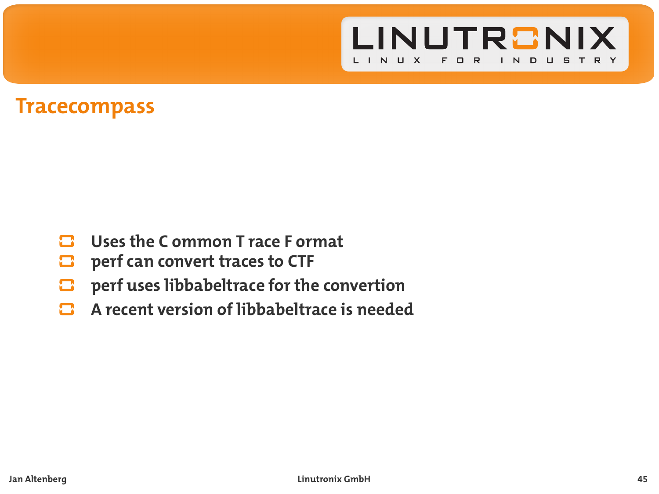

### **Tracecompass**

- $\mathbf{\mathbf{\mathsf{C}}}\mathbf{D}$ **Uses the C ommon T race F ormat**
- **perf can convert traces to CTF**  $\blacksquare$
- **perf uses libbabeltrace for the convertion**  $\mathbf{\Omega}$
- **A recent version of libbabeltrace is needed** n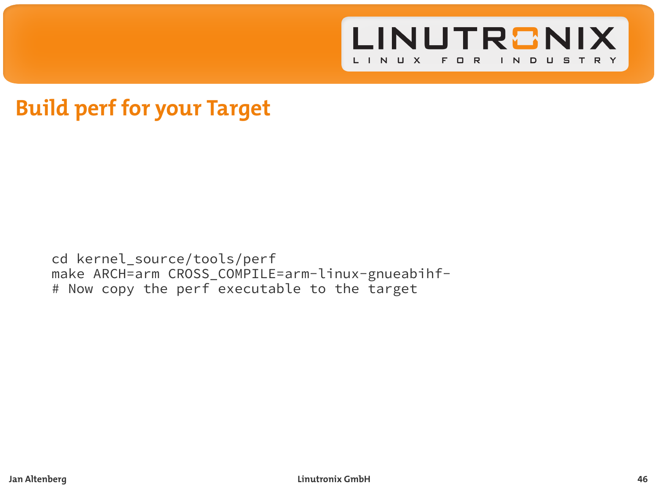

### **Build perf for your Target**

cd kernel\_source/tools/perf make ARCH=arm CROSS\_COMPILE=arm-linux-gnueabihf- # Now copy the perf executable to the target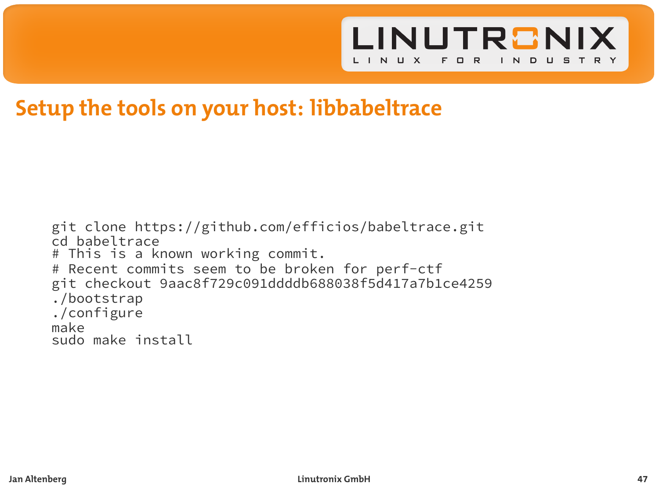

### **Setup the tools on your host: libbabeltrace**

git clone https://github.com/efficios/babeltrace.git cd babeltrace # This is a known working commit. # Recent commits seem to be broken for perf-ctf git checkout 9aac8f729c091ddddb688038f5d417a7b1ce4259 ./bootstrap ./configure make sudo make install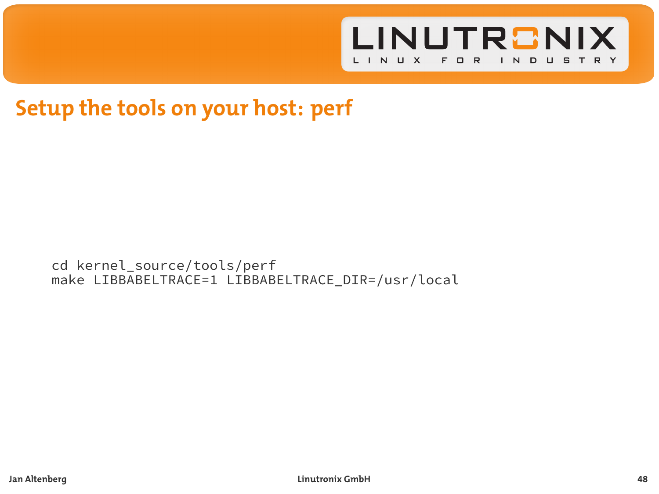

# **Setup the tools on your host: perf**

cd kernel\_source/tools/perf make LIBBABELTRACE=1 LIBBABELTRACE\_DIR=/usr/local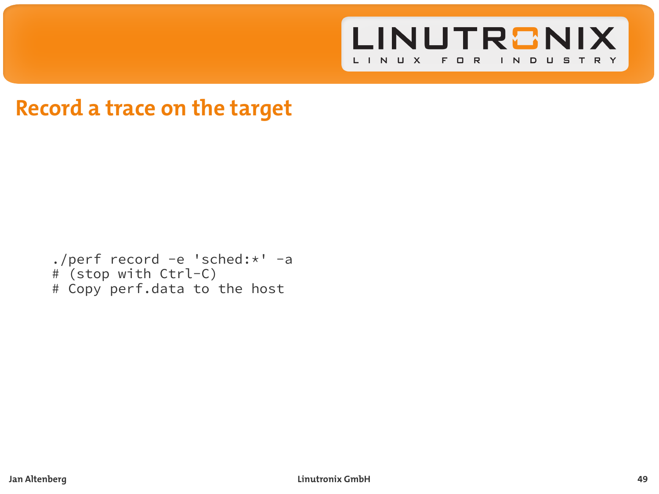

### **Record a trace on the target**

```
./perf record -e 'sched:*' -a
# (stop with Ctrl-C)
# Copy perf.data to the host
```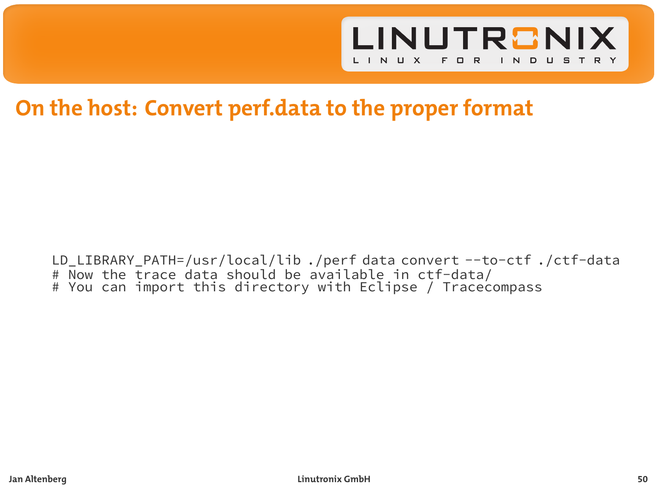

### **On the host: Convert perf.data to the proper format**

LD\_LIBRARY\_PATH=/usr/local/lib ./perf data convert --to-ctf ./ctf-data # Now the trace data should be available in ctf-data/ # You can import this directory with Eclipse / Tracecompass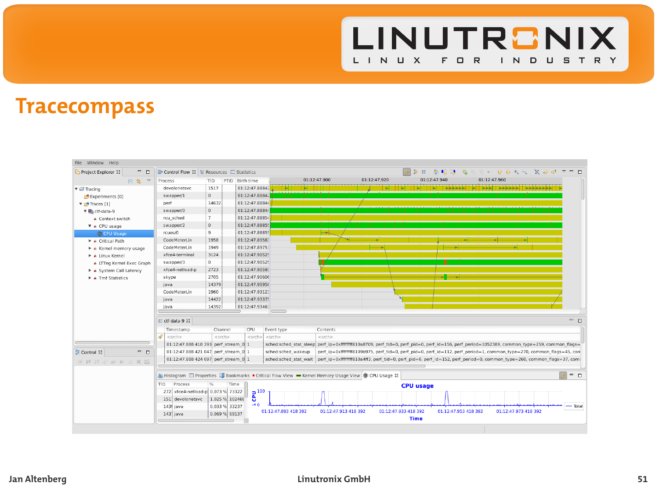

# **Tracecompass**

| File Window Help                                                                                                                                                            |                                                                                                                                                                                     |                |                 |                        |                      |                                               |                                                                                                                                            |                                             |                                               |  |  |
|-----------------------------------------------------------------------------------------------------------------------------------------------------------------------------|-------------------------------------------------------------------------------------------------------------------------------------------------------------------------------------|----------------|-----------------|------------------------|----------------------|-----------------------------------------------|--------------------------------------------------------------------------------------------------------------------------------------------|---------------------------------------------|-----------------------------------------------|--|--|
| $ -$<br>Project Explorer 33                                                                                                                                                 | <b>B</b> - Control Flow 33 E Resources <b>D</b> Statistics                                                                                                                          |                |                 |                        |                      | 3 E   8 G J   R & & +   9 8 K &   X 8 0 T = 0 |                                                                                                                                            |                                             |                                               |  |  |
| 日常。                                                                                                                                                                         | Process                                                                                                                                                                             | TID.           | PTID Birth time |                        | 01:12:47.900         | 01:12:47.920                                  | 01:12:47.940                                                                                                                               | 01:12:47.960                                |                                               |  |  |
| <b>v</b> E Tracing                                                                                                                                                          | devolonetsyc                                                                                                                                                                        | 1517           | 01:12:47.8884;  | ъm<br><b>THE THEFT</b> |                      | . .                                           | ы.                                                                                                                                         | E     E   ESSES   E   EST   SESSE   ESSESET |                                               |  |  |
| C# Experiments [0]                                                                                                                                                          | swapper/1                                                                                                                                                                           | $\circ$        | 01:12:47.8884;  |                        |                      |                                               |                                                                                                                                            |                                             |                                               |  |  |
| V of Traces (1)                                                                                                                                                             | perf                                                                                                                                                                                | 14632          | 01:12:47.88844  |                        |                      |                                               |                                                                                                                                            |                                             |                                               |  |  |
| v B. ctf-data-9                                                                                                                                                             | swapper/0                                                                                                                                                                           | $\circ$        | 01:12:47.88844  |                        |                      |                                               |                                                                                                                                            |                                             |                                               |  |  |
| · Context switch                                                                                                                                                            | rcu sched                                                                                                                                                                           | $\mathcal{F}$  | 01:12:47.88854  |                        |                      |                                               |                                                                                                                                            |                                             |                                               |  |  |
| <b>v</b> & CPU usage                                                                                                                                                        | swapper/2                                                                                                                                                                           | $\circ$        | 01:12:47.88855  |                        |                      |                                               |                                                                                                                                            |                                             |                                               |  |  |
| <b>B</b> CPU Usage                                                                                                                                                          | rcuos/0                                                                                                                                                                             | 9              | 01:12:47.88855  |                        | انود                 |                                               |                                                                                                                                            |                                             |                                               |  |  |
| A Critical Path                                                                                                                                                             | CodeMeterLin                                                                                                                                                                        | 1958           | 01:12:47.8956)  |                        |                      |                                               |                                                                                                                                            |                                             |                                               |  |  |
| > a Kernel memory usage                                                                                                                                                     | CodeMeterLin                                                                                                                                                                        | 1949           | 01:12:47.89751  |                        |                      |                                               |                                                                                                                                            |                                             |                                               |  |  |
| A Linux Kernel                                                                                                                                                              | xfce4-terminal                                                                                                                                                                      | 3124           | 01:12:47.9052   |                        |                      |                                               |                                                                                                                                            |                                             |                                               |  |  |
| · LTTng Kernel Exec Graph                                                                                                                                                   | swapper/3                                                                                                                                                                           | $\circ$        | 01:12:47.90525  |                        |                      |                                               |                                                                                                                                            |                                             |                                               |  |  |
| A A System Call Latency                                                                                                                                                     | xfce4-netload-p                                                                                                                                                                     | 2723           | 01:12:47.90593  |                        |                      |                                               |                                                                                                                                            |                                             |                                               |  |  |
| A Tmf Statistics                                                                                                                                                            | skype                                                                                                                                                                               | 2705           | 01:12:47.90606  |                        |                      |                                               | $-$                                                                                                                                        |                                             |                                               |  |  |
|                                                                                                                                                                             | java                                                                                                                                                                                | 14379          | 01:12:47.90958  |                        |                      |                                               |                                                                                                                                            |                                             |                                               |  |  |
|                                                                                                                                                                             | CodeMeterLin                                                                                                                                                                        | 1960           | 01:12:47.93123  |                        |                      |                                               |                                                                                                                                            |                                             |                                               |  |  |
|                                                                                                                                                                             | iava                                                                                                                                                                                | 14422          | 01:12:47.93375  |                        |                      |                                               |                                                                                                                                            |                                             |                                               |  |  |
|                                                                                                                                                                             | iava                                                                                                                                                                                | 14392          | 01:12:47.93461  |                        |                      |                                               |                                                                                                                                            |                                             |                                               |  |  |
|                                                                                                                                                                             |                                                                                                                                                                                     |                |                 |                        |                      |                                               |                                                                                                                                            |                                             |                                               |  |  |
|                                                                                                                                                                             | E ctf-data-9 22                                                                                                                                                                     |                |                 |                        |                      |                                               |                                                                                                                                            |                                             | - 0                                           |  |  |
|                                                                                                                                                                             | Timestamp                                                                                                                                                                           | Channel        | CPU             | Event type             | Contents             |                                               |                                                                                                                                            |                                             |                                               |  |  |
|                                                                                                                                                                             | s<br><srch></srch>                                                                                                                                                                  | earch>         |                 | curch> curch>          | earch>               |                                               |                                                                                                                                            |                                             |                                               |  |  |
|                                                                                                                                                                             | 01:12:47.888 418 393 perf stream 0 1                                                                                                                                                |                |                 |                        |                      |                                               | sched:sched stat sleep perf ip=0xfffffff810a8709, perf tid=0, perf pid=0, perf id=156, perf period=1052389, common type=259, common flags= |                                             |                                               |  |  |
| $ -$<br>≥ Control 12                                                                                                                                                        | 01:12:47.888 421 047 perf stream 0 1                                                                                                                                                |                |                 | sched:sched wakeup     |                      |                                               | perf ip=0xffffffff8109b975, perf tid=0, perf pid=0, perf id=112, perf period=1, common type=270, common flags=45, con                      |                                             |                                               |  |  |
| $\begin{array}{l} \circledast \mathrel{ \mathit{H} } \mathrel{ \mathit{H} } \circledcirc \circledast \mathrel{ \mathit{H} } \mathrel{ \mathit{H} } \circledast \end{array}$ | 01:12:47.888 424 097 perf stream 0 1<br>sched:sched stat wait perf ip=0xffffffff810a4ff3, perf tid=0, perf pid=0, perf id=152, perf period=0, common type=260, common flags=37, com |                |                 |                        |                      |                                               |                                                                                                                                            |                                             |                                               |  |  |
|                                                                                                                                                                             | $g = \Box$<br>Is Histogram I Properties C Bookmarks . Critical Flow View - Kernel Memory Usage View @ CPU Usage 12                                                                  |                |                 |                        |                      |                                               |                                                                                                                                            |                                             |                                               |  |  |
|                                                                                                                                                                             |                                                                                                                                                                                     |                |                 |                        |                      |                                               |                                                                                                                                            |                                             |                                               |  |  |
|                                                                                                                                                                             | TID.<br>Process<br>Time<br><b>CPU</b> usage<br>2721 xfce4-netload-p 0.073 % 73322<br>$\approx 100$                                                                                  |                |                 |                        |                      |                                               |                                                                                                                                            |                                             |                                               |  |  |
|                                                                                                                                                                             | 151 devolonetsyc                                                                                                                                                                    | 1.025 % 102465 | в               |                        |                      |                                               |                                                                                                                                            |                                             |                                               |  |  |
|                                                                                                                                                                             | 1435 lava                                                                                                                                                                           | 0.033 % 33237  | $-0.0$          |                        |                      |                                               |                                                                                                                                            |                                             | إرزوا ساحمه وممتهد والمتعاولة متعاونا متعادية |  |  |
|                                                                                                                                                                             | 143 java                                                                                                                                                                            | 0.069 % 69137  |                 | 01:12:47.893 418 392   | 01:12:47.913 418 392 |                                               | 01:12:47.953 418 392<br>01:12:47.933 418 392<br><b>Time</b>                                                                                | 01:12:47.973 418 392                        |                                               |  |  |
|                                                                                                                                                                             |                                                                                                                                                                                     |                |                 |                        |                      |                                               |                                                                                                                                            |                                             |                                               |  |  |
|                                                                                                                                                                             |                                                                                                                                                                                     |                |                 |                        |                      |                                               |                                                                                                                                            |                                             |                                               |  |  |